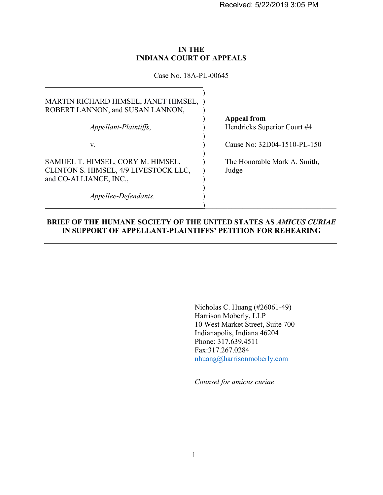Received: 5/22/2019 3:05 PM

### **IN THE INDIANA COURT OF APPEALS**

Case No. 18A-PL-00645

| MARTIN RICHARD HIMSEL, JANET HIMSEL,<br>ROBERT LANNON, and SUSAN LANNON,<br>Appellant-Plaintiffs,    | <b>Appeal from</b><br>Hendricks Superior Court #4 |
|------------------------------------------------------------------------------------------------------|---------------------------------------------------|
| V.                                                                                                   | Cause No: 32D04-1510-PL-150                       |
| SAMUEL T. HIMSEL, CORY M. HIMSEL,<br>CLINTON S. HIMSEL, 4/9 LIVESTOCK LLC,<br>and CO-ALLIANCE, INC., | The Honorable Mark A. Smith,<br>Judge             |
| Appellee-Defendants.                                                                                 |                                                   |

### **BRIEF OF THE HUMANE SOCIETY OF THE UNITED STATES AS** *AMICUS CURIAE* **IN SUPPORT OF APPELLANT-PLAINTIFFS' PETITION FOR REHEARING**

Nicholas C. Huang (#26061-49) Harrison Moberly, LLP 10 West Market Street, Suite 700 Indianapolis, Indiana 46204 Phone: 317.639.4511 Fax:317.267.0284 nhuang@harrisonmoberly.com

*Counsel for amicus curiae*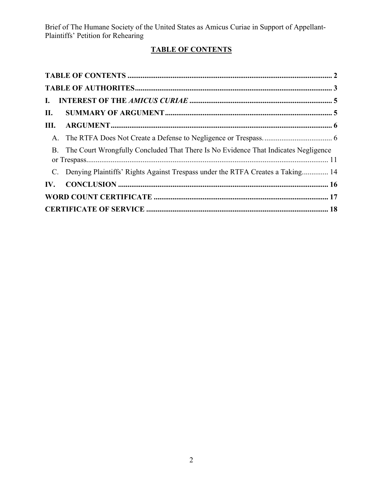# **TABLE OF CONTENTS**

| II. |                                                                                       |  |
|-----|---------------------------------------------------------------------------------------|--|
|     |                                                                                       |  |
|     |                                                                                       |  |
|     | B. The Court Wrongfully Concluded That There Is No Evidence That Indicates Negligence |  |
|     | C. Denying Plaintiffs' Rights Against Trespass under the RTFA Creates a Taking 14     |  |
|     |                                                                                       |  |
|     |                                                                                       |  |
|     |                                                                                       |  |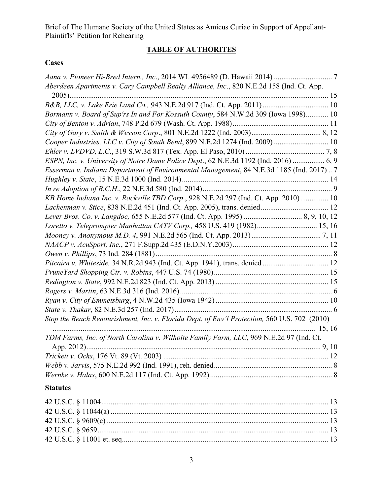# **TABLE OF AUTHORITES**

### **Cases**

| Aberdeen Apartments v. Cary Campbell Realty Alliance, Inc., 820 N.E.2d 158 (Ind. Ct. App.    |  |
|----------------------------------------------------------------------------------------------|--|
|                                                                                              |  |
|                                                                                              |  |
| Bormann v. Board of Sup'rs In and For Kossuth County, 584 N.W.2d 309 (Iowa 1998) 10          |  |
|                                                                                              |  |
|                                                                                              |  |
| Cooper Industries, LLC v. City of South Bend, 899 N.E.2d 1274 (Ind. 2009)  10                |  |
|                                                                                              |  |
| ESPN, Inc. v. University of Notre Dame Police Dept., 62 N.E.3d 1192 (Ind. 2016)  6, 9        |  |
| Esserman v. Indiana Department of Environmental Management, 84 N.E.3d 1185 (Ind. 2017)7      |  |
|                                                                                              |  |
|                                                                                              |  |
| KB Home Indiana Inc. v. Rockville TBD Corp., 928 N.E.2d 297 (Ind. Ct. App. 2010) 10          |  |
|                                                                                              |  |
|                                                                                              |  |
| Loretto v. Teleprompter Manhattan CATV Corp., 458 U.S. 419 (1982) 15, 16                     |  |
|                                                                                              |  |
|                                                                                              |  |
|                                                                                              |  |
| Pitcairn v. Whiteside, 34 N.R.2d 943 (Ind. Ct. App. 1941), trans. denied  12                 |  |
|                                                                                              |  |
|                                                                                              |  |
|                                                                                              |  |
|                                                                                              |  |
|                                                                                              |  |
| Stop the Beach Renourishment, Inc. v. Florida Dept. of Env'l Protection, 560 U.S. 702 (2010) |  |
|                                                                                              |  |
| TDM Farms, Inc. of North Carolina v. Wilhoite Family Farm, LLC, 969 N.E.2d 97 (Ind. Ct.      |  |
|                                                                                              |  |
|                                                                                              |  |
|                                                                                              |  |
|                                                                                              |  |
|                                                                                              |  |

## **Statutes**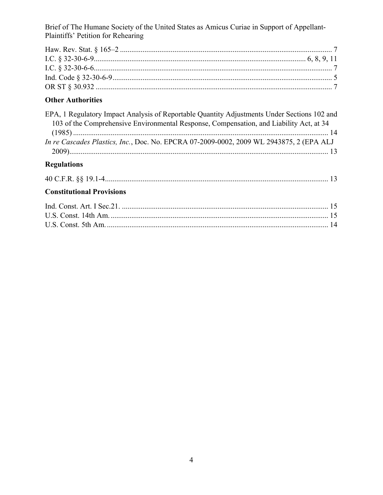# **Other Authorities**

| EPA, 1 Regulatory Impact Analysis of Reportable Quantity Adjustments Under Sections 102 and |  |
|---------------------------------------------------------------------------------------------|--|
| 103 of the Comprehensive Environmental Response, Compensation, and Liability Act, at 34     |  |
|                                                                                             |  |
| In re Cascades Plastics, Inc., Doc. No. EPCRA 07-2009-0002, 2009 WL 2943875, 2 (EPA ALJ     |  |
|                                                                                             |  |

# **Regulations**

| <b>Constitutional Provisions</b> |  |
|----------------------------------|--|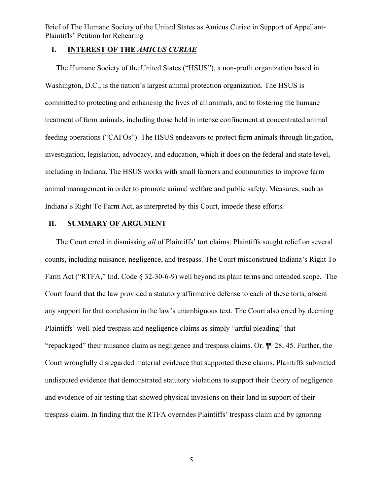### **I. INTEREST OF THE** *AMICUS CURIAE*

The Humane Society of the United States ("HSUS"), a non-profit organization based in Washington, D.C., is the nation's largest animal protection organization. The HSUS is committed to protecting and enhancing the lives of all animals, and to fostering the humane treatment of farm animals, including those held in intense confinement at concentrated animal feeding operations ("CAFOs"). The HSUS endeavors to protect farm animals through litigation, investigation, legislation, advocacy, and education, which it does on the federal and state level, including in Indiana. The HSUS works with small farmers and communities to improve farm animal management in order to promote animal welfare and public safety. Measures, such as Indiana's Right To Farm Act, as interpreted by this Court, impede these efforts.

### **II. SUMMARY OF ARGUMENT**

The Court erred in dismissing *all* of Plaintiffs' tort claims. Plaintiffs sought relief on several counts, including nuisance, negligence, and trespass. The Court misconstrued Indiana's Right To Farm Act ("RTFA," Ind. Code § 32-30-6-9) well beyond its plain terms and intended scope. The Court found that the law provided a statutory affirmative defense to each of these torts, absent any support for that conclusion in the law's unambiguous text. The Court also erred by deeming Plaintiffs' well-pled trespass and negligence claims as simply "artful pleading" that "repackaged" their nuisance claim as negligence and trespass claims. Or. ¶¶ 28, 45. Further, the Court wrongfully disregarded material evidence that supported these claims. Plaintiffs submitted undisputed evidence that demonstrated statutory violations to support their theory of negligence and evidence of air testing that showed physical invasions on their land in support of their trespass claim. In finding that the RTFA overrides Plaintiffs' trespass claim and by ignoring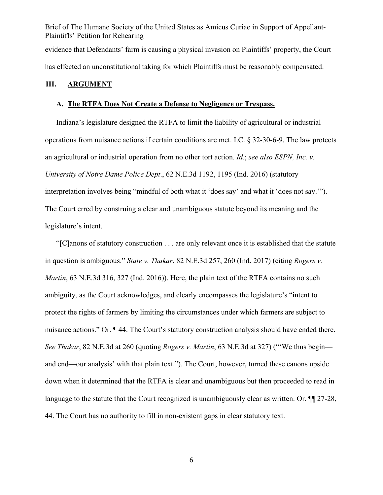Brief of The Humane Society of the United States as Amicus Curiae in Support of Appellant-Plaintiffs' Petition for Rehearing evidence that Defendants' farm is causing a physical invasion on Plaintiffs' property, the Court has effected an unconstitutional taking for which Plaintiffs must be reasonably compensated.

#### **III. ARGUMENT**

#### **A. The RTFA Does Not Create a Defense to Negligence or Trespass.**

Indiana's legislature designed the RTFA to limit the liability of agricultural or industrial operations from nuisance actions if certain conditions are met. I.C. § 32-30-6-9. The law protects an agricultural or industrial operation from no other tort action. *Id*.; *see also ESPN, Inc. v. University of Notre Dame Police Dept*., 62 N.E.3d 1192, 1195 (Ind. 2016) (statutory interpretation involves being "mindful of both what it 'does say' and what it 'does not say.'"). The Court erred by construing a clear and unambiguous statute beyond its meaning and the legislature's intent.

"[C]anons of statutory construction . . . are only relevant once it is established that the statute in question is ambiguous." *State v. Thakar*, 82 N.E.3d 257, 260 (Ind. 2017) (citing *Rogers v. Martin*, 63 N.E.3d 316, 327 (Ind. 2016)). Here, the plain text of the RTFA contains no such ambiguity, as the Court acknowledges, and clearly encompasses the legislature's "intent to protect the rights of farmers by limiting the circumstances under which farmers are subject to nuisance actions." Or.  $\P$  44. The Court's statutory construction analysis should have ended there. *See Thakar*, 82 N.E.3d at 260 (quoting *Rogers v. Martin*, 63 N.E.3d at 327) ("'We thus begin and end—our analysis' with that plain text."). The Court, however, turned these canons upside down when it determined that the RTFA is clear and unambiguous but then proceeded to read in language to the statute that the Court recognized is unambiguously clear as written. Or.  $\P$  27-28, 44. The Court has no authority to fill in non-existent gaps in clear statutory text.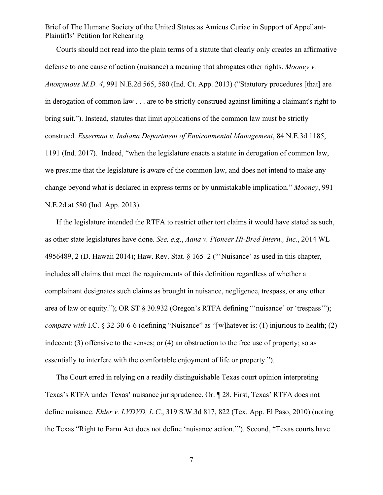Courts should not read into the plain terms of a statute that clearly only creates an affirmative defense to one cause of action (nuisance) a meaning that abrogates other rights. *Mooney v. Anonymous M.D. 4*, 991 N.E.2d 565, 580 (Ind. Ct. App. 2013) ("Statutory procedures [that] are in derogation of common law . . . are to be strictly construed against limiting a claimant's right to bring suit."). Instead, statutes that limit applications of the common law must be strictly construed. *Esserman v. Indiana Department of Environmental Management*, 84 N.E.3d 1185, 1191 (Ind. 2017). Indeed, "when the legislature enacts a statute in derogation of common law, we presume that the legislature is aware of the common law, and does not intend to make any change beyond what is declared in express terms or by unmistakable implication." *Mooney*, 991 N.E.2d at 580 (Ind. App. 2013).

If the legislature intended the RTFA to restrict other tort claims it would have stated as such, as other state legislatures have done. *See, e.g*., *Aana v. Pioneer Hi-Bred Intern., Inc*., 2014 WL 4956489, 2 (D. Hawaii 2014); Haw. Rev. Stat. § 165–2 ("'Nuisance' as used in this chapter, includes all claims that meet the requirements of this definition regardless of whether a complainant designates such claims as brought in nuisance, negligence, trespass, or any other area of law or equity."); OR ST § 30.932 (Oregon's RTFA defining "'nuisance' or 'trespass'"); *compare with* I.C. § 32-30-6-6 (defining "Nuisance" as "[w] hatever is: (1) injurious to health; (2) indecent; (3) offensive to the senses; or (4) an obstruction to the free use of property; so as essentially to interfere with the comfortable enjoyment of life or property.").

The Court erred in relying on a readily distinguishable Texas court opinion interpreting Texas's RTFA under Texas' nuisance jurisprudence. Or. ¶ 28. First, Texas' RTFA does not define nuisance. *Ehler v. LVDVD, L.C*., 319 S.W.3d 817, 822 (Tex. App. El Paso, 2010) (noting the Texas "Right to Farm Act does not define 'nuisance action.'"). Second, "Texas courts have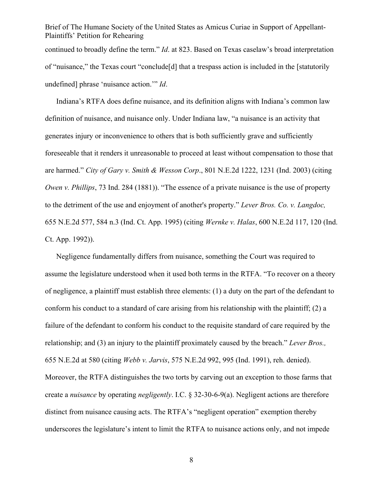Brief of The Humane Society of the United States as Amicus Curiae in Support of Appellant-Plaintiffs' Petition for Rehearing continued to broadly define the term." *Id*. at 823. Based on Texas caselaw's broad interpretation of "nuisance," the Texas court "conclude[d] that a trespass action is included in the [statutorily undefined] phrase 'nuisance action.'" *Id*.

Indiana's RTFA does define nuisance, and its definition aligns with Indiana's common law definition of nuisance, and nuisance only. Under Indiana law, "a nuisance is an activity that generates injury or inconvenience to others that is both sufficiently grave and sufficiently foreseeable that it renders it unreasonable to proceed at least without compensation to those that are harmed." *City of Gary v. Smith & Wesson Corp*., 801 N.E.2d 1222, 1231 (Ind. 2003) (citing *Owen v. Phillips*, 73 Ind. 284 (1881)). "The essence of a private nuisance is the use of property to the detriment of the use and enjoyment of another's property." *Lever Bros. Co. v. Langdoc,* 655 N.E.2d 577, 584 n.3 (Ind. Ct. App. 1995) (citing *Wernke v. Halas*, 600 N.E.2d 117, 120 (Ind. Ct. App. 1992)).

Negligence fundamentally differs from nuisance, something the Court was required to assume the legislature understood when it used both terms in the RTFA. "To recover on a theory of negligence, a plaintiff must establish three elements: (1) a duty on the part of the defendant to conform his conduct to a standard of care arising from his relationship with the plaintiff;  $(2)$  a failure of the defendant to conform his conduct to the requisite standard of care required by the relationship; and (3) an injury to the plaintiff proximately caused by the breach." *Lever Bros.,*  655 N.E.2d at 580 (citing *Webb v. Jarvis*, 575 N.E.2d 992, 995 (Ind. 1991), reh. denied). Moreover, the RTFA distinguishes the two torts by carving out an exception to those farms that create a *nuisance* by operating *negligently*. I.C. § 32-30-6-9(a). Negligent actions are therefore distinct from nuisance causing acts. The RTFA's "negligent operation" exemption thereby underscores the legislature's intent to limit the RTFA to nuisance actions only, and not impede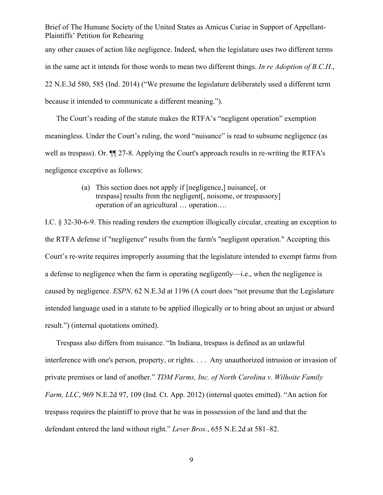any other causes of action like negligence. Indeed, when the legislature uses two different terms in the same act it intends for those words to mean two different things. *In re Adoption of B.C.H*., 22 N.E.3d 580, 585 (Ind. 2014) ("We presume the legislature deliberately used a different term because it intended to communicate a different meaning.").

The Court's reading of the statute makes the RTFA's "negligent operation" exemption meaningless. Under the Court's ruling, the word "nuisance" is read to subsume negligence (as well as trespass). Or. ¶¶ 27-8. Applying the Court's approach results in re-writing the RTFA's negligence exceptive as follows:

> (a) This section does not apply if [negligence,] nuisance[, or trespass] results from the negligent[, noisome, or trespassory] operation of an agricultural … operation….

I.C. § 32-30-6-9. This reading renders the exemption illogically circular, creating an exception to the RTFA defense if "negligence" results from the farm's "negligent operation." Accepting this Court's re-write requires improperly assuming that the legislature intended to exempt farms from a defense to negligence when the farm is operating negligently—i.e., when the negligence is caused by negligence. *ESPN,* 62 N.E.3d at 1196 (A court does "not presume that the Legislature intended language used in a statute to be applied illogically or to bring about an unjust or absurd result.") (internal quotations omitted).

Trespass also differs from nuisance. "In Indiana, trespass is defined as an unlawful interference with one's person, property, or rights. . . . Any unauthorized intrusion or invasion of private premises or land of another." *TDM Farms, Inc. of North Carolina v. Wilhoite Family Farm, LLC*, 969 N.E.2d 97, 109 (Ind. Ct. App. 2012) (internal quotes emitted). "An action for trespass requires the plaintiff to prove that he was in possession of the land and that the defendant entered the land without right." *Lever Bros.*, 655 N.E.2d at 581–82.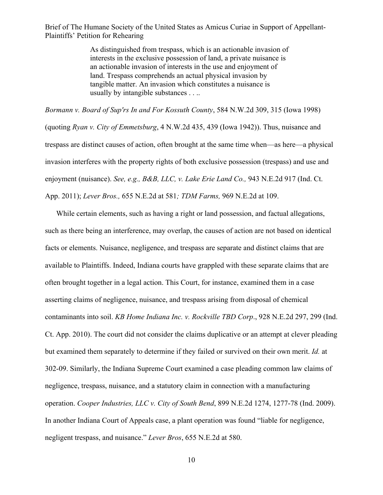> As distinguished from trespass, which is an actionable invasion of interests in the exclusive possession of land, a private nuisance is an actionable invasion of interests in the use and enjoyment of land. Trespass comprehends an actual physical invasion by tangible matter. An invasion which constitutes a nuisance is usually by intangible substances . . ..

*Bormann v. Board of Sup'rs In and For Kossuth County*, 584 N.W.2d 309, 315 (Iowa 1998)

(quoting *Ryan v. City of Emmetsburg*, 4 N.W.2d 435, 439 (Iowa 1942)). Thus, nuisance and trespass are distinct causes of action, often brought at the same time when—as here—a physical invasion interferes with the property rights of both exclusive possession (trespass) and use and enjoyment (nuisance). *See, e.g., B&B, LLC, v. Lake Erie Land Co.,* 943 N.E.2d 917 (Ind. Ct. App. 2011); *Lever Bros.,* 655 N.E.2d at 581*; TDM Farms,* 969 N.E.2d at 109.

While certain elements, such as having a right or land possession, and factual allegations, such as there being an interference, may overlap, the causes of action are not based on identical facts or elements. Nuisance, negligence, and trespass are separate and distinct claims that are available to Plaintiffs. Indeed, Indiana courts have grappled with these separate claims that are often brought together in a legal action. This Court, for instance, examined them in a case asserting claims of negligence, nuisance, and trespass arising from disposal of chemical contaminants into soil. *KB Home Indiana Inc. v. Rockville TBD Corp*., 928 N.E.2d 297, 299 (Ind. Ct. App. 2010). The court did not consider the claims duplicative or an attempt at clever pleading but examined them separately to determine if they failed or survived on their own merit. *Id.* at 302-09. Similarly, the Indiana Supreme Court examined a case pleading common law claims of negligence, trespass, nuisance, and a statutory claim in connection with a manufacturing operation. *Cooper Industries, LLC v. City of South Bend*, 899 N.E.2d 1274, 1277-78 (Ind. 2009). In another Indiana Court of Appeals case, a plant operation was found "liable for negligence, negligent trespass, and nuisance." *Lever Bros*, 655 N.E.2d at 580.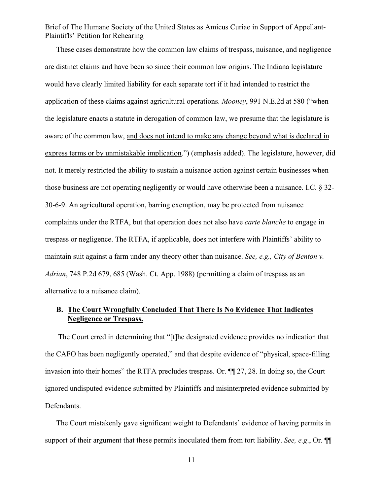These cases demonstrate how the common law claims of trespass, nuisance, and negligence are distinct claims and have been so since their common law origins. The Indiana legislature would have clearly limited liability for each separate tort if it had intended to restrict the application of these claims against agricultural operations. *Mooney*, 991 N.E.2d at 580 ("when the legislature enacts a statute in derogation of common law, we presume that the legislature is aware of the common law, and does not intend to make any change beyond what is declared in express terms or by unmistakable implication.") (emphasis added). The legislature, however, did not. It merely restricted the ability to sustain a nuisance action against certain businesses when those business are not operating negligently or would have otherwise been a nuisance. I.C. § 32- 30-6-9. An agricultural operation, barring exemption, may be protected from nuisance complaints under the RTFA, but that operation does not also have *carte blanche* to engage in trespass or negligence. The RTFA, if applicable, does not interfere with Plaintiffs' ability to maintain suit against a farm under any theory other than nuisance. *See, e.g., City of Benton v. Adrian*, 748 P.2d 679, 685 (Wash. Ct. App. 1988) (permitting a claim of trespass as an alternative to a nuisance claim).

### **B. The Court Wrongfully Concluded That There Is No Evidence That Indicates Negligence or Trespass.**

The Court erred in determining that "[t]he designated evidence provides no indication that the CAFO has been negligently operated," and that despite evidence of "physical, space-filling invasion into their homes" the RTFA precludes trespass. Or. ¶¶ 27, 28. In doing so, the Court ignored undisputed evidence submitted by Plaintiffs and misinterpreted evidence submitted by Defendants.

The Court mistakenly gave significant weight to Defendants' evidence of having permits in support of their argument that these permits inoculated them from tort liability. *See, e.g*., Or. ¶¶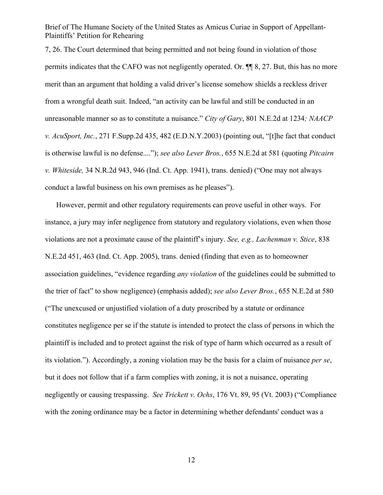7, 26. The Court determined that being permitted and not being found in violation of those permits indicates that the CAFO was not negligently operated. Or. ¶¶ 8, 27. But, this has no more merit than an argument that holding a valid driver's license somehow shields a reckless driver from a wrongful death suit. Indeed, "an activity can be lawful and still be conducted in an unreasonable manner so as to constitute a nuisance." *City of Gary*, 801 N.E.2d at 1234*; NAACP v. AcuSport, Inc.*, 271 F.Supp.2d 435, 482 (E.D.N.Y.2003) (pointing out, "[t]he fact that conduct is otherwise lawful is no defense...."); *see also Lever Bros.*, 655 N.E.2d at 581 (quoting *Pitcairn v. Whiteside,* 34 N.R.2d 943, 946 (Ind. Ct. App. 1941), trans. denied) ("One may not always conduct a lawful business on his own premises as he pleases").

However, permit and other regulatory requirements can prove useful in other ways. For instance, a jury may infer negligence from statutory and regulatory violations, even when those violations are not a proximate cause of the plaintiff's injury. *See, e.g., Lachenman v. Stice*, 838 N.E.2d 451, 463 (Ind. Ct. App. 2005), trans. denied (finding that even as to homeowner association guidelines, "evidence regarding *any violation* of the guidelines could be submitted to the trier of fact" to show negligence) (emphasis added); *see also Lever Bros.*, 655 N.E.2d at 580 ("The unexcused or unjustified violation of a duty proscribed by a statute or ordinance constitutes negligence per se if the statute is intended to protect the class of persons in which the plaintiff is included and to protect against the risk of type of harm which occurred as a result of its violation."). Accordingly, a zoning violation may be the basis for a claim of nuisance *per se*, but it does not follow that if a farm complies with zoning, it is not a nuisance, operating negligently or causing trespassing. *See Trickett v. Ochs*, 176 Vt. 89, 95 (Vt. 2003) ("Compliance with the zoning ordinance may be a factor in determining whether defendants' conduct was a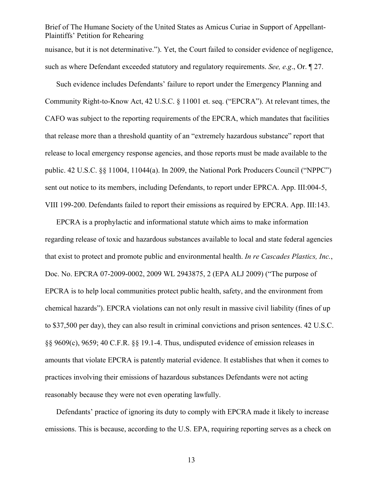Brief of The Humane Society of the United States as Amicus Curiae in Support of Appellant-Plaintiffs' Petition for Rehearing nuisance, but it is not determinative."). Yet, the Court failed to consider evidence of negligence, such as where Defendant exceeded statutory and regulatory requirements. *See, e.g*., Or. ¶ 27.

Such evidence includes Defendants' failure to report under the Emergency Planning and Community Right-to-Know Act, 42 U.S.C. § 11001 et. seq. ("EPCRA"). At relevant times, the CAFO was subject to the reporting requirements of the EPCRA, which mandates that facilities that release more than a threshold quantity of an "extremely hazardous substance" report that release to local emergency response agencies, and those reports must be made available to the public. 42 U.S.C. §§ 11004, 11044(a). In 2009, the National Pork Producers Council ("NPPC") sent out notice to its members, including Defendants, to report under EPRCA. App. III:004-5, VIII 199-200. Defendants failed to report their emissions as required by EPCRA. App. III:143.

EPCRA is a prophylactic and informational statute which aims to make information regarding release of toxic and hazardous substances available to local and state federal agencies that exist to protect and promote public and environmental health. *In re Cascades Plastics, Inc.*, Doc. No. EPCRA 07-2009-0002, 2009 WL 2943875, 2 (EPA ALJ 2009) ("The purpose of EPCRA is to help local communities protect public health, safety, and the environment from chemical hazards"). EPCRA violations can not only result in massive civil liability (fines of up to \$37,500 per day), they can also result in criminal convictions and prison sentences. 42 U.S.C. §§ 9609(c), 9659; 40 C.F.R. §§ 19.1-4. Thus, undisputed evidence of emission releases in amounts that violate EPCRA is patently material evidence. It establishes that when it comes to practices involving their emissions of hazardous substances Defendants were not acting reasonably because they were not even operating lawfully.

Defendants' practice of ignoring its duty to comply with EPCRA made it likely to increase emissions. This is because, according to the U.S. EPA, requiring reporting serves as a check on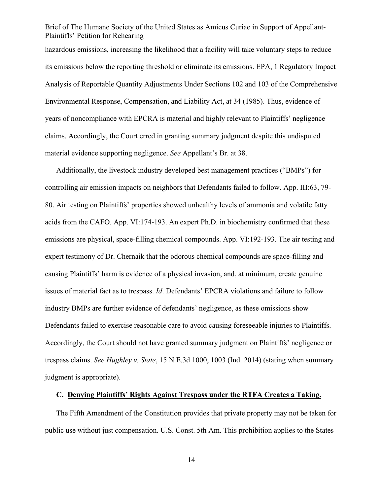hazardous emissions, increasing the likelihood that a facility will take voluntary steps to reduce its emissions below the reporting threshold or eliminate its emissions. EPA, 1 Regulatory Impact Analysis of Reportable Quantity Adjustments Under Sections 102 and 103 of the Comprehensive Environmental Response, Compensation, and Liability Act, at 34 (1985). Thus, evidence of years of noncompliance with EPCRA is material and highly relevant to Plaintiffs' negligence claims. Accordingly, the Court erred in granting summary judgment despite this undisputed material evidence supporting negligence. *See* Appellant's Br. at 38.

Additionally, the livestock industry developed best management practices ("BMPs") for controlling air emission impacts on neighbors that Defendants failed to follow. App. III:63, 79- 80. Air testing on Plaintiffs' properties showed unhealthy levels of ammonia and volatile fatty acids from the CAFO. App. VI:174-193. An expert Ph.D. in biochemistry confirmed that these emissions are physical, space-filling chemical compounds. App. VI:192-193. The air testing and expert testimony of Dr. Chernaik that the odorous chemical compounds are space-filling and causing Plaintiffs' harm is evidence of a physical invasion, and, at minimum, create genuine issues of material fact as to trespass. *Id*. Defendants' EPCRA violations and failure to follow industry BMPs are further evidence of defendants' negligence, as these omissions show Defendants failed to exercise reasonable care to avoid causing foreseeable injuries to Plaintiffs. Accordingly, the Court should not have granted summary judgment on Plaintiffs' negligence or trespass claims. *See Hughley v. State*, 15 N.E.3d 1000, 1003 (Ind. 2014) (stating when summary judgment is appropriate).

#### **C. Denying Plaintiffs' Rights Against Trespass under the RTFA Creates a Taking.**

The Fifth Amendment of the Constitution provides that private property may not be taken for public use without just compensation. U.S. Const. 5th Am. This prohibition applies to the States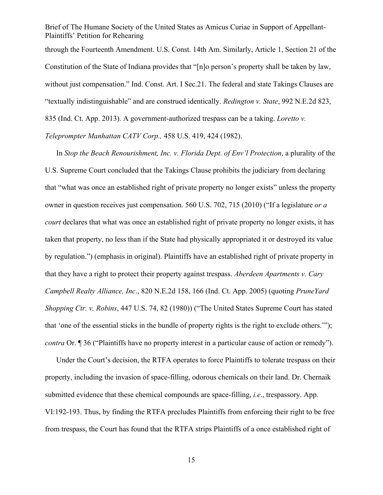Brief of The Humane Society of the United States as Amicus Curiae in Support of Appellant-Plaintiffs' Petition for Rehearing through the Fourteenth Amendment. U.S. Const. 14th Am. Similarly, Article 1, Section 21 of the Constitution of the State of Indiana provides that "[n]o person's property shall be taken by law, without just compensation." Ind. Const. Art. I Sec. 21. The federal and state Takings Clauses are "textually indistinguishable" and are construed identically. *Redington v. State*, 992 N.E.2d 823, 835 (Ind. Ct. App. 2013). A government-authorized trespass can be a taking. *Loretto v. Teleprompter Manhattan CATV Corp.,* 458 U.S. 419, 424 (1982).

In *Stop the Beach Renourishment, Inc. v. Florida Dept. of Env'l Protection*, a plurality of the U.S. Supreme Court concluded that the Takings Clause prohibits the judiciary from declaring that "what was once an established right of private property no longer exists" unless the property owner in question receives just compensation. 560 U.S. 702, 715 (2010) ("If a legislature *or a court* declares that what was once an established right of private property no longer exists, it has taken that property, no less than if the State had physically appropriated it or destroyed its value by regulation.") (emphasis in original). Plaintiffs have an established right of private property in that they have a right to protect their property against trespass. *Aberdeen Apartments v. Cary Campbell Realty Alliance, Inc*., 820 N.E.2d 158, 166 (Ind. Ct. App. 2005) (quoting *PruneYard Shopping Ctr. v. Robins*, 447 U.S. 74, 82 (1980)) ("The United States Supreme Court has stated that 'one of the essential sticks in the bundle of property rights is the right to exclude others.'"); *contra* Or. **[1** 36 ("Plaintiffs have no property interest in a particular cause of action or remedy").

Under the Court's decision, the RTFA operates to force Plaintiffs to tolerate trespass on their property, including the invasion of space-filling, odorous chemicals on their land. Dr. Chernaik submitted evidence that these chemical compounds are space-filling, *i.e*., trespassory. App. VI:192-193. Thus, by finding the RTFA precludes Plaintiffs from enforcing their right to be free from trespass, the Court has found that the RTFA strips Plaintiffs of a once established right of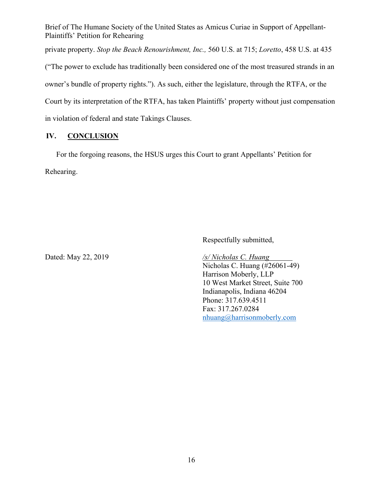private property. *Stop the Beach Renourishment, Inc.,* 560 U.S. at 715; *Loretto*, 458 U.S. at 435

("The power to exclude has traditionally been considered one of the most treasured strands in an

owner's bundle of property rights."). As such, either the legislature, through the RTFA, or the

Court by its interpretation of the RTFA, has taken Plaintiffs' property without just compensation

in violation of federal and state Takings Clauses.

## **IV. CONCLUSION**

For the forgoing reasons, the HSUS urges this Court to grant Appellants' Petition for Rehearing.

Respectfully submitted,

Dated: May 22, 2019 */s/ Nicholas C. Huang*

Nicholas C. Huang (#26061-49) Harrison Moberly, LLP 10 West Market Street, Suite 700 Indianapolis, Indiana 46204 Phone: 317.639.4511 Fax: 317.267.0284 nhuang@harrisonmoberly.com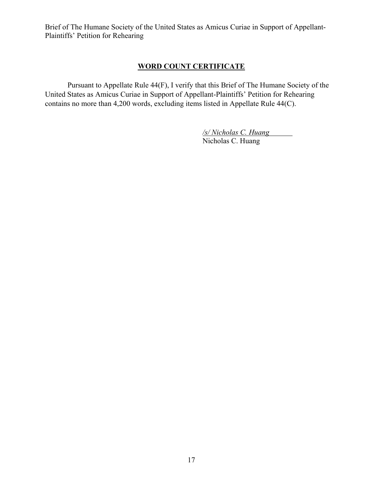## **WORD COUNT CERTIFICATE**

Pursuant to Appellate Rule 44(F), I verify that this Brief of The Humane Society of the United States as Amicus Curiae in Support of Appellant-Plaintiffs' Petition for Rehearing contains no more than 4,200 words, excluding items listed in Appellate Rule 44(C).

> */s/ Nicholas C. Huang*  Nicholas C. Huang